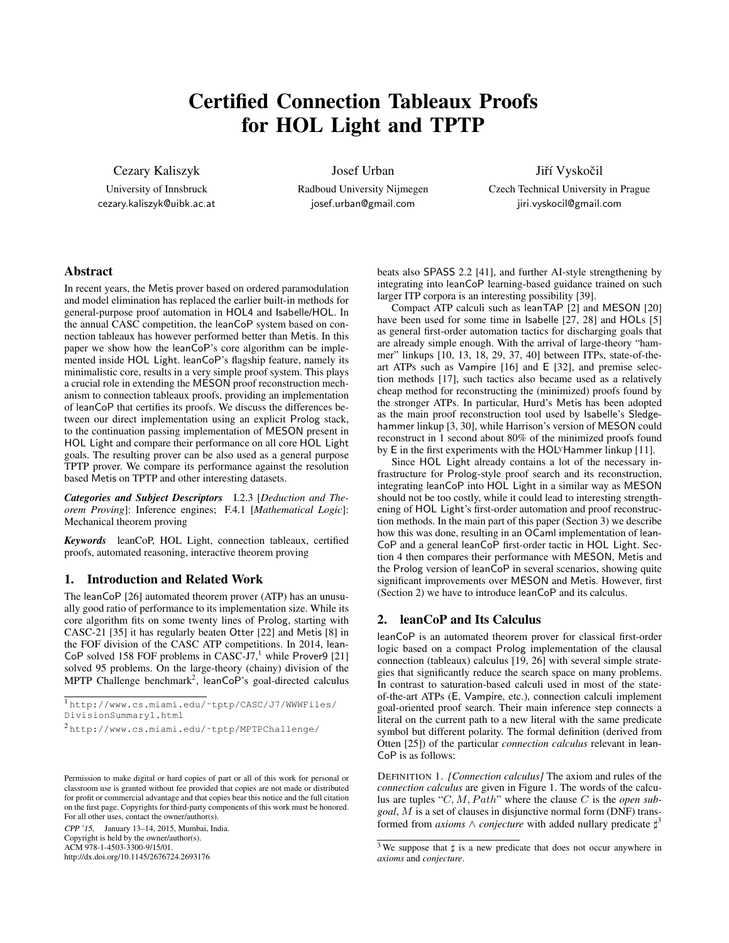# Certified Connection Tableaux Proofs for HOL Light and TPTP

Cezary Kaliszyk

University of Innsbruck cezary.kaliszyk@uibk.ac.at Josef Urban

Radboud University Nijmegen josef.urban@gmail.com

Jiří Vyskočil Czech Technical University in Prague jiri.vyskocil@gmail.com

# Abstract

In recent years, the Metis prover based on ordered paramodulation and model elimination has replaced the earlier built-in methods for general-purpose proof automation in HOL4 and Isabelle/HOL. In the annual CASC competition, the leanCoP system based on connection tableaux has however performed better than Metis. In this paper we show how the leanCoP's core algorithm can be implemented inside HOL Light. leanCoP's flagship feature, namely its minimalistic core, results in a very simple proof system. This plays a crucial role in extending the MESON proof reconstruction mechanism to connection tableaux proofs, providing an implementation of leanCoP that certifies its proofs. We discuss the differences between our direct implementation using an explicit Prolog stack, to the continuation passing implementation of MESON present in HOL Light and compare their performance on all core HOL Light goals. The resulting prover can be also used as a general purpose TPTP prover. We compare its performance against the resolution based Metis on TPTP and other interesting datasets.

*Categories and Subject Descriptors* I.2.3 [*Deduction and Theorem Proving*]: Inference engines; F.4.1 [*Mathematical Logic*]: Mechanical theorem proving

*Keywords* leanCoP, HOL Light, connection tableaux, certified proofs, automated reasoning, interactive theorem proving

## 1. Introduction and Related Work

The leanCoP [26] automated theorem prover (ATP) has an unusually good ratio of performance to its implementation size. While its core algorithm fits on some twenty lines of Prolog, starting with CASC-21 [35] it has regularly beaten Otter [22] and Metis [8] in the FOF division of the CASC ATP competitions. In 2014, lean- $CoP$  solved 158 FOF problems in CASC-J7,<sup>1</sup> while Prover9 [21] solved 95 problems. On the large-theory (chainy) division of the MPTP Challenge benchmark<sup>2</sup>, leanCoP's goal-directed calculus

<sup>1</sup> http://www.cs.miami.edu/˜tptp/CASC/J7/WWWFiles/ DivisionSummary1.html

<sup>2</sup> http://www.cs.miami.edu/˜tptp/MPTPChallenge/

CPP '15, January 13–14, 2015, Mumbai, India. Copyright is held by the owner/author(s). ACM 978-1-4503-3300-9/15/01. http://dx.doi.org/10.1145/2676724.2693176

beats also SPASS 2.2 [41], and further AI-style strengthening by integrating into leanCoP learning-based guidance trained on such larger ITP corpora is an interesting possibility [39].

Compact ATP calculi such as leanTAP [2] and MESON [20] have been used for some time in Isabelle [27, 28] and HOLs [5] as general first-order automation tactics for discharging goals that are already simple enough. With the arrival of large-theory "hammer" linkups [10, 13, 18, 29, 37, 40] between ITPs, state-of-theart ATPs such as Vampire [16] and E [32], and premise selection methods [17], such tactics also became used as a relatively cheap method for reconstructing the (minimized) proofs found by the stronger ATPs. In particular, Hurd's Metis has been adopted as the main proof reconstruction tool used by Isabelle's Sledgehammer linkup [3, 30], while Harrison's version of MESON could reconstruct in 1 second about 80% of the minimized proofs found by E in the first experiments with the HOLYHammer linkup [11].

Since HOL Light already contains a lot of the necessary infrastructure for Prolog-style proof search and its reconstruction, integrating leanCoP into HOL Light in a similar way as MESON should not be too costly, while it could lead to interesting strengthening of HOL Light's first-order automation and proof reconstruction methods. In the main part of this paper (Section 3) we describe how this was done, resulting in an OCaml implementation of lean-CoP and a general leanCoP first-order tactic in HOL Light. Section 4 then compares their performance with MESON, Metis and the Prolog version of leanCoP in several scenarios, showing quite significant improvements over MESON and Metis. However, first (Section 2) we have to introduce leanCoP and its calculus.

# 2. leanCoP and Its Calculus

leanCoP is an automated theorem prover for classical first-order logic based on a compact Prolog implementation of the clausal connection (tableaux) calculus [19, 26] with several simple strategies that significantly reduce the search space on many problems. In contrast to saturation-based calculi used in most of the stateof-the-art ATPs (E, Vampire, etc.), connection calculi implement goal-oriented proof search. Their main inference step connects a literal on the current path to a new literal with the same predicate symbol but different polarity. The formal definition (derived from Otten [25]) of the particular *connection calculus* relevant in lean-CoP is as follows:

DEFINITION 1. *[Connection calculus]* The axiom and rules of the *connection calculus* are given in Figure 1. The words of the calculus are tuples " $C, M, Path$ " where the clause  $C$  is the *open subgoal*, M is a set of clauses in disjunctive normal form (DNF) transformed from *axioms*  $\land$  *conjecture* with added nullary predicate  $\sharp^3$ 

Permission to make digital or hard copies of part or all of this work for personal or classroom use is granted without fee provided that copies are not made or distributed for profit or commercial advantage and that copies bear this notice and the full citation on the first page. Copyrights for third-party components of this work must be honored. For all other uses, contact the owner/author(s).

<sup>&</sup>lt;sup>3</sup> We suppose that  $\sharp$  is a new predicate that does not occur anywhere in *axioms* and *conjecture*.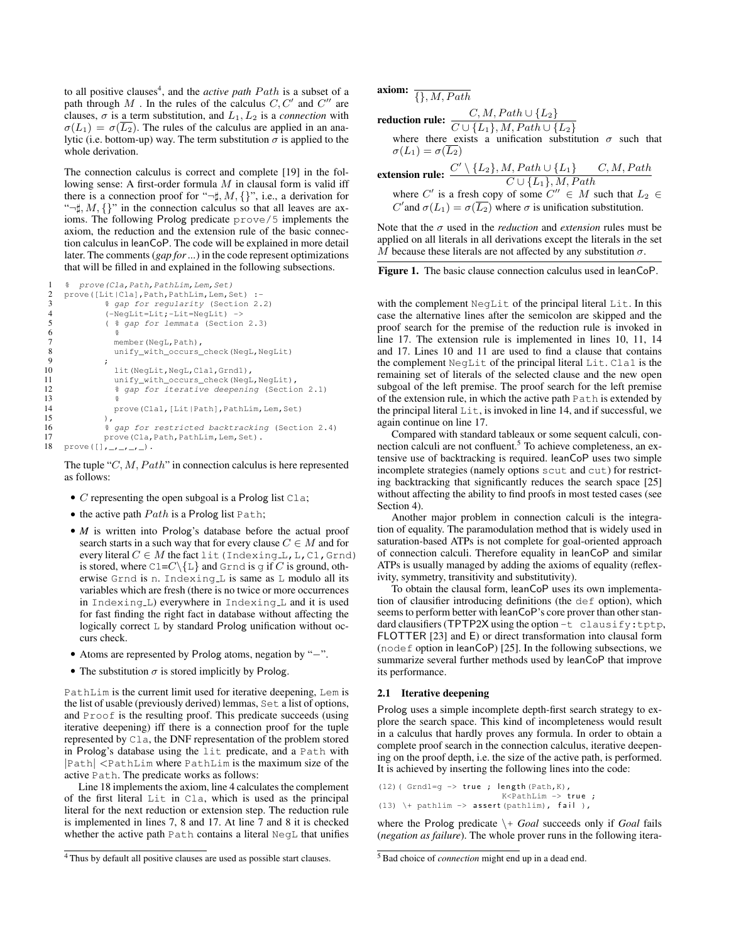to all positive clauses<sup>4</sup>, and the *active path Path* is a subset of a path through  $M$  . In the rules of the calculus  $C, C'$  and  $C''$  are clauses,  $\sigma$  is a term substitution, and  $L_1, L_2$  is a *connection* with  $\sigma(L_1) = \sigma(L_2)$ . The rules of the calculus are applied in an analytic (i.e. bottom-up) way. The term substitution  $\sigma$  is applied to the whole derivation.

The connection calculus is correct and complete [19] in the following sense: A first-order formula  $M$  in clausal form is valid iff there is a connection proof for " $\neg$ #,  $M$ , {}", i.e., a derivation for " $\neg$ #, M, {}" in the connection calculus so that all leaves are axioms. The following Prolog predicate prove/5 implements the axiom, the reduction and the extension rule of the basic connection calculus in leanCoP. The code will be explained in more detail later. The comments (*gap for ...*) in the code represent optimizations that will be filled in and explained in the following subsections.

```
1 % prove(Cla, Path, PathLim, Lem, Set)<br>2 prove([Lit]Cla], Path, PathLim, Lem, S
 2 prove([Lit|Cla],Path,PathLim,Lem,Set) :-<br>3 % gap for regularity (Section 2.
 3 \frac{2}{9} gap for regularity (Section 2.2)<br>4 (-Neaf_{1}it=-1it=-Neaf_{1}it) ->
 4 (-NegLit=Lit;-Lit=NegLit) -><br>5 ( \frac{2}{3} gap for lemmata (Section
 5 ( \frac{2}{3} gap for lemmata (Section 2.3)<br>6
 6 \frac{8}{3}7 member(NegL,Path),<br>8 unify_with_occurs_
 8 unify_with_occurs_check(NegL,NegLit) 9
 9 ;
10 lit(NegLit,NegL,Cla1,Grnd1),<br>11 unify with occurs check(NegL
                        unify_with_occurs_check(NegL,NegLit),
12 \frac{1}{2} \frac{1}{2} \frac{1}{2} \frac{1}{2} \frac{1}{2} \frac{1}{2} \frac{1}{2} \frac{1}{2} \frac{1}{2} \frac{1}{2} \frac{1}{2} \frac{1}{2} \frac{1}{2} \frac{1}{2} \frac{1}{2} \frac{1}{2} \frac{1}{2} \frac{1}{2} \frac{1}{2} \frac{1}{2} \frac{1}{2} \frac{1}{2}13 %
14 prove(Cla1, [Lit|Path], PathLim, Lem, Set)<br>15 \cdot\frac{15}{16} ),
16 % gap for restricted backtracking (Section 2.4)<br>17 more (Cla.Path.PathLim.Lem.Set).
17 prove (Cla, Path, PathLim, Lem, Set).<br>18 prove (1, \ldots, 1).
      \texttt{prove}\left(\left[\;\right],_{-},_{-},_{-},_{-}\right) .
```
The tuple " $C, M, Path$ " in connection calculus is here represented as follows:

- $\bullet$  C representing the open subgoal is a Prolog list Cla;
- $\bullet$  the active path  $Path$  is a Prolog list Path;
- *M* is written into Prolog's database before the actual proof search starts in a such way that for every clause  $C \in M$  and for every literal  $C \in M$  the fact lit (Indexing L, L, C1, Grnd) is stored, where  $C1 = C \setminus \{L\}$  and Grnd is g if C is ground, otherwise Grnd is n. Indexing L is same as L modulo all its variables which are fresh (there is no twice or more occurrences in Indexing L) everywhere in Indexing L and it is used for fast finding the right fact in database without affecting the logically correct L by standard Prolog unification without occurs check.
- Atoms are represented by Prolog atoms, negation by "−".
- The substitution  $\sigma$  is stored implicitly by Prolog.

PathLim is the current limit used for iterative deepening, Lem is the list of usable (previously derived) lemmas, Set a list of options, and Proof is the resulting proof. This predicate succeeds (using iterative deepening) iff there is a connection proof for the tuple represented by Cla, the DNF representation of the problem stored in Prolog's database using the lit predicate, and a Path with |Path| <PathLim where PathLim is the maximum size of the active Path. The predicate works as follows:

Line 18 implements the axiom, line 4 calculates the complement of the first literal Lit in Cla, which is used as the principal literal for the next reduction or extension step. The reduction rule is implemented in lines 7, 8 and 17. At line 7 and 8 it is checked whether the active path Path contains a literal NegL that unifies axiom:  $\frac{1}{\{\}, M, Path}$ 

reduction rule:  $\frac{C, M, Path \cup \{L_2\}}{C \cup \{L_1\}, M, Path \cup \{L_2\}}$ 

where there exists a unification substitution  $\sigma$  such that  $\sigma(L_1) = \sigma(\overline{L}_2)$ 

extension rule:  $\frac{C' \setminus \{L_2\}, M, Path \cup \{L_1\}}{C \cup \{L_1\}, M, P} \cdot C, M, Path$  $C \cup \{L_1\}, M, Path$ 

where C' is a fresh copy of some  $C'' \in M$  such that  $L_2 \in$ C' and  $\sigma(L_1) = \sigma(\overline{L_2})$  where  $\sigma$  is unification substitution.

Note that the  $\sigma$  used in the *reduction* and *extension* rules must be applied on all literals in all derivations except the literals in the set M because these literals are not affected by any substitution  $\sigma$ .

Figure 1. The basic clause connection calculus used in leanCoP.

with the complement NegLit of the principal literal Lit. In this case the alternative lines after the semicolon are skipped and the proof search for the premise of the reduction rule is invoked in line 17. The extension rule is implemented in lines 10, 11, 14 and 17. Lines 10 and 11 are used to find a clause that contains the complement NegLit of the principal literal Lit. Cla1 is the remaining set of literals of the selected clause and the new open subgoal of the left premise. The proof search for the left premise of the extension rule, in which the active path Path is extended by the principal literal  $List$ , is invoked in line 14, and if successful, we again continue on line 17.

Compared with standard tableaux or some sequent calculi, connection calculi are not confluent.<sup>5</sup> To achieve completeness, an extensive use of backtracking is required. leanCoP uses two simple incomplete strategies (namely options scut and cut) for restricting backtracking that significantly reduces the search space [25] without affecting the ability to find proofs in most tested cases (see Section 4).

Another major problem in connection calculi is the integration of equality. The paramodulation method that is widely used in saturation-based ATPs is not complete for goal-oriented approach of connection calculi. Therefore equality in leanCoP and similar ATPs is usually managed by adding the axioms of equality (reflexivity, symmetry, transitivity and substitutivity).

To obtain the clausal form, leanCoP uses its own implementation of clausifier introducing definitions (the def option), which seems to perform better with leanCoP's core prover than other standard clausifiers (TPTP2X using the option -t clausify:tptp, FLOTTER [23] and E) or direct transformation into clausal form (nodef option in leanCoP) [25]. In the following subsections, we summarize several further methods used by leanCoP that improve its performance.

#### 2.1 Iterative deepening

Prolog uses a simple incomplete depth-first search strategy to explore the search space. This kind of incompleteness would result in a calculus that hardly proves any formula. In order to obtain a complete proof search in the connection calculus, iterative deepening on the proof depth, i.e. the size of the active path, is performed. It is achieved by inserting the following lines into the code:

(12)( Grnd1=g -> true ; length(Path,K),<br>K<PathLim -> true ; (13)  $\rightarrow$  pathlim -> assert (pathlim), fail ),

where the Prolog predicate \+ *Goal* succeeds only if *Goal* fails (*negation as failure*). The whole prover runs in the following itera-

<sup>4</sup> Thus by default all positive clauses are used as possible start clauses.

<sup>5</sup> Bad choice of *connection* might end up in a dead end.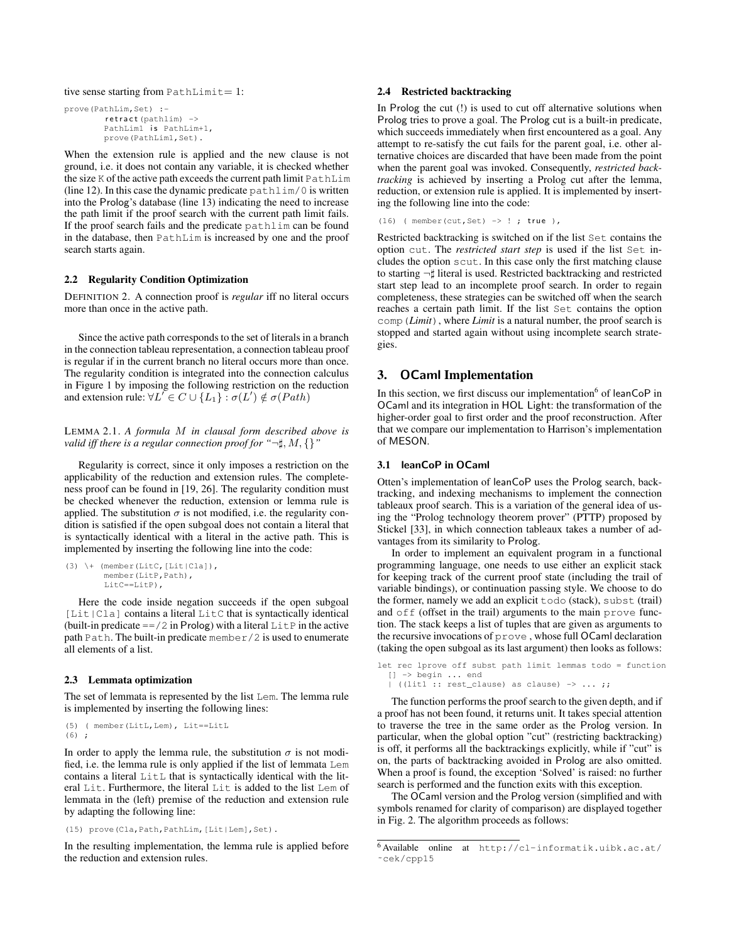tive sense starting from PathLimit= 1:

```
prove(PathLim,Set) :-
         retract (pathlim) \rightarrowPathLim1 is PathLim+1,
         prove(PathLim1, Set).
```
When the extension rule is applied and the new clause is not ground, i.e. it does not contain any variable, it is checked whether the size K of the active path exceeds the current path limit PathLim (line 12). In this case the dynamic predicate  $pathLim/0$  is written into the Prolog's database (line 13) indicating the need to increase the path limit if the proof search with the current path limit fails. If the proof search fails and the predicate pathlim can be found in the database, then PathLim is increased by one and the proof search starts again.

# 2.2 Regularity Condition Optimization

DEFINITION 2. A connection proof is *regular* iff no literal occurs more than once in the active path.

Since the active path corresponds to the set of literals in a branch in the connection tableau representation, a connection tableau proof is regular if in the current branch no literal occurs more than once. The regularity condition is integrated into the connection calculus in Figure 1 by imposing the following restriction on the reduction and extension rule:  $\forall L' \in C \cup \{L_1\} : \sigma(L') \notin \sigma(Path)$ 

LEMMA 2.1. *A formula* M *in clausal form described above is valid iff there is a regular connection proof for "* $\neg$ *#, M, {}"* 

Regularity is correct, since it only imposes a restriction on the applicability of the reduction and extension rules. The completeness proof can be found in [19, 26]. The regularity condition must be checked whenever the reduction, extension or lemma rule is applied. The substitution  $\sigma$  is not modified, i.e. the regularity condition is satisfied if the open subgoal does not contain a literal that is syntactically identical with a literal in the active path. This is implemented by inserting the following line into the code:

```
(3) \+ (member(LitC,[Lit|Cla]),
       member(LitP,Path),
        LitC==LitP),
```
Here the code inside negation succeeds if the open subgoal [Lit | Cla] contains a literal LitC that is syntactically identical (built-in predicate  $=$  /2 in Prolog) with a literal LitP in the active path Path. The built-in predicate member/2 is used to enumerate all elements of a list.

#### 2.3 Lemmata optimization

The set of lemmata is represented by the list Lem. The lemma rule is implemented by inserting the following lines:

```
(5) ( member(LitL,Lem), Lit==LitL
(6);
```
In order to apply the lemma rule, the substitution  $\sigma$  is not modified, i.e. the lemma rule is only applied if the list of lemmata Lem contains a literal LitL that is syntactically identical with the literal Lit. Furthermore, the literal Lit is added to the list Lem of lemmata in the (left) premise of the reduction and extension rule by adapting the following line:

(15) prove(Cla,Path,PathLim,[Lit|Lem],Set).

In the resulting implementation, the lemma rule is applied before the reduction and extension rules.

#### 2.4 Restricted backtracking

In Prolog the cut (!) is used to cut off alternative solutions when Prolog tries to prove a goal. The Prolog cut is a built-in predicate, which succeeds immediately when first encountered as a goal. Any attempt to re-satisfy the cut fails for the parent goal, i.e. other alternative choices are discarded that have been made from the point when the parent goal was invoked. Consequently, *restricted backtracking* is achieved by inserting a Prolog cut after the lemma, reduction, or extension rule is applied. It is implemented by inserting the following line into the code:

 $(16)$  ( member(cut, Set)  $\rightarrow$  !; true),

Restricted backtracking is switched on if the list Set contains the option cut. The *restricted start step* is used if the list Set includes the option scut. In this case only the first matching clause to starting  $\neg$  literal is used. Restricted backtracking and restricted start step lead to an incomplete proof search. In order to regain completeness, these strategies can be switched off when the search reaches a certain path limit. If the list Set contains the option comp(*Limit*), where *Limit* is a natural number, the proof search is stopped and started again without using incomplete search strategies.

#### 3. OCaml Implementation

In this section, we first discuss our implementation<sup>6</sup> of leanCoP in OCaml and its integration in HOL Light: the transformation of the higher-order goal to first order and the proof reconstruction. After that we compare our implementation to Harrison's implementation of MESON.

#### 3.1 leanCoP in OCaml

Otten's implementation of leanCoP uses the Prolog search, backtracking, and indexing mechanisms to implement the connection tableaux proof search. This is a variation of the general idea of using the "Prolog technology theorem prover" (PTTP) proposed by Stickel [33], in which connection tableaux takes a number of advantages from its similarity to Prolog.

In order to implement an equivalent program in a functional programming language, one needs to use either an explicit stack for keeping track of the current proof state (including the trail of variable bindings), or continuation passing style. We choose to do the former, namely we add an explicit todo (stack), subst (trail) and  $\circ$  f f (offset in the trail) arguments to the main prove function. The stack keeps a list of tuples that are given as arguments to the recursive invocations of prove , whose full OCaml declaration (taking the open subgoal as its last argument) then looks as follows:

```
let rec lprove off subst path limit lemmas todo = function
  [] -> begin ... end
  | ((lit1 :: rest_clause) as clause) \rightarrow \ldots;
```
The function performs the proof search to the given depth, and if

a proof has not been found, it returns unit. It takes special attention to traverse the tree in the same order as the Prolog version. In particular, when the global option "cut" (restricting backtracking) is off, it performs all the backtrackings explicitly, while if "cut" is on, the parts of backtracking avoided in Prolog are also omitted. When a proof is found, the exception 'Solved' is raised: no further search is performed and the function exits with this exception.

The OCaml version and the Prolog version (simplified and with symbols renamed for clarity of comparison) are displayed together in Fig. 2. The algorithm proceeds as follows:

<sup>6</sup> Available online at http://cl-informatik.uibk.ac.at/ ˜cek/cpp15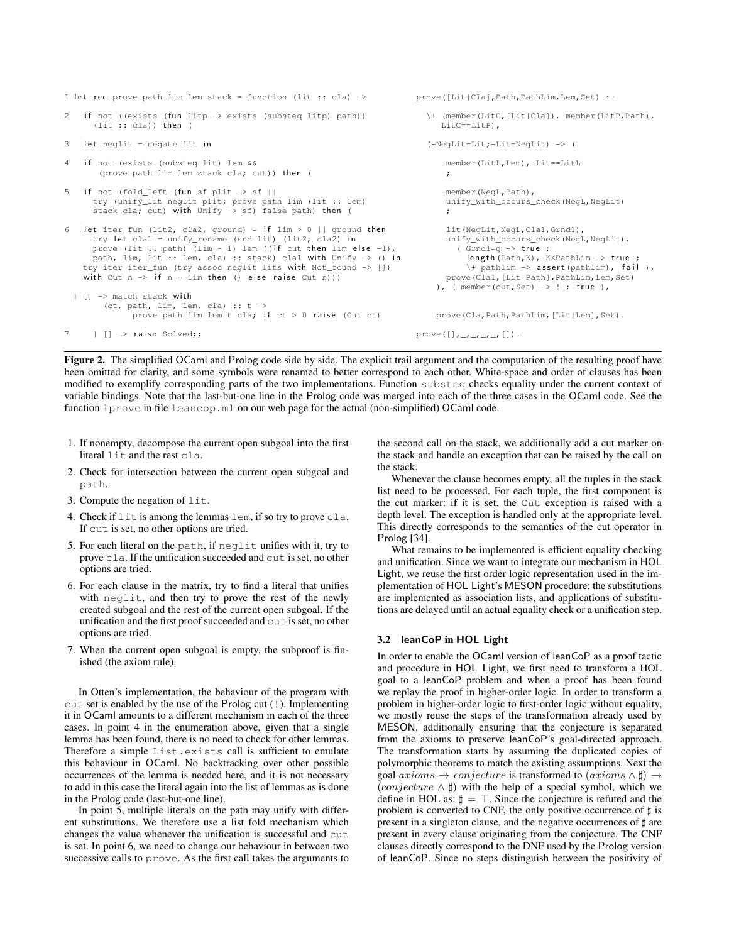```
1 let rec prove path lim lem stack = function (lit :: cla) ->
2
3
4
5
6
7
    if not ((exists (fun litp -> exists (substeq litp) path))
       (lit :: cla)) then (
    let neglit = negate lit in
    if not (exists (substeq lit) lem &&
       (prove path lim lem stack cla; cut)) then (
    if not (fold_left (fun sf plit -> sf ||
      try (unify_lit neglit plit; prove path lim (lit :: lem)
      stack cla; cut) with Unify \rightarrow sf) false path) then (
   let iter_fun (lit2, cla2, ground) = if lim > 0 || ground then
       try let cla1 = unify_rename (snd lit) (lit2, cla2) in<br>prove (lit :: path) (lim - 1) lem ((if cut then lim else -1),
      path, lim, lit :: lem, cla) :: stack) cla1 with Unify \rightarrow () in
    try iter iter_fun (try assoc neglit lits with Not_found \rightarrow [])
    with Cut n \rightarrow if n = \lim_{n \to \infty} then () else raise Cut n)))
  | | | \rightarrow match stack with
         (ct, path, lim, lem, cla) : t \rightarrowprove path lim lem t cla; if ct > 0 raise (Cut ct)
      | | | \rightarrow raise Solved::
                                                                                 prove([Lit|Cla], Path, PathLim, Lem, Set) :-
                                                                                    \+ (member(LitC,[Lit|Cla]), member(LitP,Path),
                                                                                       LitC==LitP),
                                                                                    (-NegLit=Lit;-Lit=NegLit) -> (
                                                                                        member(LitL,Lem), Lit==LitL
                                                                                         ;
                                                                                        member(NegL,Path),
                                                                                        unify_with_occurs_check(NegL, NegLit)
                                                                                        ;
                                                                                        lit(NegLit,NegL,Cla1,Grnd1),
                                                                                        unify_with_occurs_check(NegL,NegLit),
                                                                                           \frac{1}{\sqrt{2}} (Grnd1=g -> true;
                                                                                             length (Path, K), K<PathLim -> true ;
                                                                                             \rightarrow assert (pathlim), fail),
                                                                                        prove(Cla1,[Lit|Path], PathLim, Lem, Set)
                                                                                      ), ( member (cut, Set) \rightarrow ! ; true ),
                                                                                      prove(Cla,Path,PathLim,[Lit|Lem],Set).
                                                                                 \text{prove}([],\_,-,-,-] []).
```
Figure 2. The simplified OCaml and Prolog code side by side. The explicit trail argument and the computation of the resulting proof have been omitted for clarity, and some symbols were renamed to better correspond to each other. White-space and order of clauses has been modified to exemplify corresponding parts of the two implementations. Function substeq checks equality under the current context of variable bindings. Note that the last-but-one line in the Prolog code was merged into each of the three cases in the OCaml code. See the function  $1$ prove in file  $1$ eancop.ml on our web page for the actual (non-simplified) OCaml code.

- 1. If nonempty, decompose the current open subgoal into the first literal lit and the rest cla.
- 2. Check for intersection between the current open subgoal and path.
- 3. Compute the negation of lit.
- 4. Check if lit is among the lemmas lem, if so try to prove cla. If cut is set, no other options are tried.
- 5. For each literal on the path, if neglit unifies with it, try to prove cla. If the unification succeeded and cut is set, no other options are tried.
- 6. For each clause in the matrix, try to find a literal that unifies with neglit, and then try to prove the rest of the newly created subgoal and the rest of the current open subgoal. If the unification and the first proof succeeded and cut is set, no other options are tried.
- 7. When the current open subgoal is empty, the subproof is finished (the axiom rule).

In Otten's implementation, the behaviour of the program with cut set is enabled by the use of the Prolog cut (!). Implementing it in OCaml amounts to a different mechanism in each of the three cases. In point 4 in the enumeration above, given that a single lemma has been found, there is no need to check for other lemmas. Therefore a simple List.exists call is sufficient to emulate this behaviour in OCaml. No backtracking over other possible occurrences of the lemma is needed here, and it is not necessary to add in this case the literal again into the list of lemmas as is done in the Prolog code (last-but-one line).

In point 5, multiple literals on the path may unify with different substitutions. We therefore use a list fold mechanism which changes the value whenever the unification is successful and cut is set. In point 6, we need to change our behaviour in between two successive calls to prove. As the first call takes the arguments to the second call on the stack, we additionally add a cut marker on the stack and handle an exception that can be raised by the call on the stack.

Whenever the clause becomes empty, all the tuples in the stack list need to be processed. For each tuple, the first component is the cut marker: if it is set, the Cut exception is raised with a depth level. The exception is handled only at the appropriate level. This directly corresponds to the semantics of the cut operator in Prolog [34].

What remains to be implemented is efficient equality checking and unification. Since we want to integrate our mechanism in HOL Light, we reuse the first order logic representation used in the implementation of HOL Light's MESON procedure: the substitutions are implemented as association lists, and applications of substitutions are delayed until an actual equality check or a unification step.

#### 3.2 leanCoP in HOL Light

In order to enable the OCaml version of leanCoP as a proof tactic and procedure in HOL Light, we first need to transform a HOL goal to a leanCoP problem and when a proof has been found we replay the proof in higher-order logic. In order to transform a problem in higher-order logic to first-order logic without equality, we mostly reuse the steps of the transformation already used by MESON, additionally ensuring that the conjecture is separated from the axioms to preserve leanCoP's goal-directed approach. The transformation starts by assuming the duplicated copies of polymorphic theorems to match the existing assumptions. Next the goal  $axioms \rightarrow conjecture$  is transformed to  $(axioms \wedge \mathbf{t}) \rightarrow$ (conjecture  $\wedge \sharp$ ) with the help of a special symbol, which we define in HOL as:  $\sharp = \top$ . Since the conjecture is refuted and the problem is converted to CNF, the only positive occurrence of  $\sharp$  is present in a singleton clause, and the negative occurrences of  $\sharp$  are present in every clause originating from the conjecture. The CNF clauses directly correspond to the DNF used by the Prolog version of leanCoP. Since no steps distinguish between the positivity of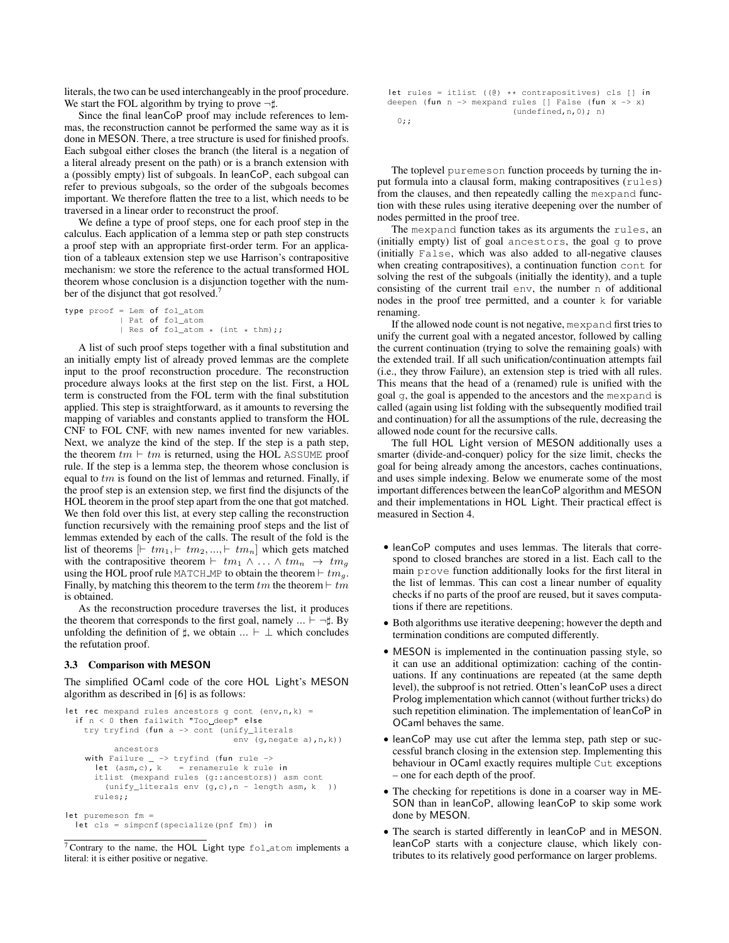literals, the two can be used interchangeably in the proof procedure. We start the FOL algorithm by trying to prove  $\neg \sharp$ .

Since the final leanCoP proof may include references to lemmas, the reconstruction cannot be performed the same way as it is done in MESON. There, a tree structure is used for finished proofs. Each subgoal either closes the branch (the literal is a negation of a literal already present on the path) or is a branch extension with a (possibly empty) list of subgoals. In leanCoP, each subgoal can refer to previous subgoals, so the order of the subgoals becomes important. We therefore flatten the tree to a list, which needs to be traversed in a linear order to reconstruct the proof.

We define a type of proof steps, one for each proof step in the calculus. Each application of a lemma step or path step constructs a proof step with an appropriate first-order term. For an application of a tableaux extension step we use Harrison's contrapositive mechanism: we store the reference to the actual transformed HOL theorem whose conclusion is a disjunction together with the number of the disjunct that got resolved.<sup>7</sup>

```
type \text{proof} = \text{Lem of } \text{fol\_atom}| Pat of fol_atom
              | Res of fol_atom * (int * thm);;
```
A list of such proof steps together with a final substitution and an initially empty list of already proved lemmas are the complete input to the proof reconstruction procedure. The reconstruction procedure always looks at the first step on the list. First, a HOL term is constructed from the FOL term with the final substitution applied. This step is straightforward, as it amounts to reversing the mapping of variables and constants applied to transform the HOL CNF to FOL CNF, with new names invented for new variables. Next, we analyze the kind of the step. If the step is a path step, the theorem  $tm \vdash tm$  is returned, using the HOL ASSUME proof rule. If the step is a lemma step, the theorem whose conclusion is equal to  $tm$  is found on the list of lemmas and returned. Finally, if the proof step is an extension step, we first find the disjuncts of the HOL theorem in the proof step apart from the one that got matched. We then fold over this list, at every step calling the reconstruction function recursively with the remaining proof steps and the list of lemmas extended by each of the calls. The result of the fold is the list of theorems  $\lbrack \vdash tm_1, \vdash tm_2, ..., \vdash tm_n \rbrack$  which gets matched with the contrapositive theorem  $\vdash tm_1 \land ... \land tm_n \rightarrow tm_g$ using the HOL proof rule MATCH MP to obtain the theorem  $\vdash tm_g$ . Finally, by matching this theorem to the term  $tm$  the theorem  $\vdash tm$ is obtained.

As the reconstruction procedure traverses the list, it produces the theorem that corresponds to the first goal, namely  $\ldots \vdash \neg \sharp$ . By unfolding the definition of  $\sharp$ , we obtain  $\ldots \vdash \bot$  which concludes the refutation proof.

#### 3.3 Comparison with MESON

The simplified OCaml code of the core HOL Light's MESON algorithm as described in [6] is as follows:

```
let rec mexpand rules ancestors q cont (\text{env}, n, k) =
  if n < 0 then failwith "Too_deep" else
   try tryfind (fun a -> cont (unify_literals
                                   env (q, negate a), n, k))
          ancestors
    with Failure - > tryfind (fun rule ->
      let (asm.c). k = remainderule k rule initlist (mexpand rules (g::ancestors)) asm cont
        (\text{unify\_literals env } (g, c), n - \text{length asm, k})rules;;
let puremeson fm =let cls = simpcnf(specialize(pnf fm)) in
```
 $7$  Contrary to the name, the HOL Light type  $f$ ol atom implements a literal: it is either positive or negative.

```
let rules = itlist ((\theta) ** contrapositives) cls [] in
deepen (fun n \rightarrow mexpand rules [] False (fun x \rightarrow x)
                             (undefined,n,0); n)
  0;;
```
The toplevel puremeson function proceeds by turning the input formula into a clausal form, making contrapositives (rules) from the clauses, and then repeatedly calling the mexpand function with these rules using iterative deepening over the number of nodes permitted in the proof tree.

The mexpand function takes as its arguments the rules, an (initially empty) list of goal ancestors, the goal g to prove (initially False, which was also added to all-negative clauses when creating contrapositives), a continuation function cont for solving the rest of the subgoals (initially the identity), and a tuple consisting of the current trail env, the number n of additional nodes in the proof tree permitted, and a counter k for variable renaming.

If the allowed node count is not negative, mexpand first tries to unify the current goal with a negated ancestor, followed by calling the current continuation (trying to solve the remaining goals) with the extended trail. If all such unification/continuation attempts fail (i.e., they throw Failure), an extension step is tried with all rules. This means that the head of a (renamed) rule is unified with the goal g, the goal is appended to the ancestors and the mexpand is called (again using list folding with the subsequently modified trail and continuation) for all the assumptions of the rule, decreasing the allowed node count for the recursive calls.

The full HOL Light version of MESON additionally uses a smarter (divide-and-conquer) policy for the size limit, checks the goal for being already among the ancestors, caches continuations, and uses simple indexing. Below we enumerate some of the most important differences between the leanCoP algorithm and MESON and their implementations in HOL Light. Their practical effect is measured in Section 4.

- leanCoP computes and uses lemmas. The literals that correspond to closed branches are stored in a list. Each call to the main prove function additionally looks for the first literal in the list of lemmas. This can cost a linear number of equality checks if no parts of the proof are reused, but it saves computations if there are repetitions.
- Both algorithms use iterative deepening; however the depth and termination conditions are computed differently.
- MESON is implemented in the continuation passing style, so it can use an additional optimization: caching of the continuations. If any continuations are repeated (at the same depth level), the subproof is not retried. Otten's leanCoP uses a direct Prolog implementation which cannot (without further tricks) do such repetition elimination. The implementation of leanCoP in OCaml behaves the same.
- leanCoP may use cut after the lemma step, path step or successful branch closing in the extension step. Implementing this behaviour in OCaml exactly requires multiple Cut exceptions – one for each depth of the proof.
- The checking for repetitions is done in a coarser way in ME-SON than in leanCoP, allowing leanCoP to skip some work done by MESON.
- The search is started differently in leanCoP and in MESON. leanCoP starts with a conjecture clause, which likely contributes to its relatively good performance on larger problems.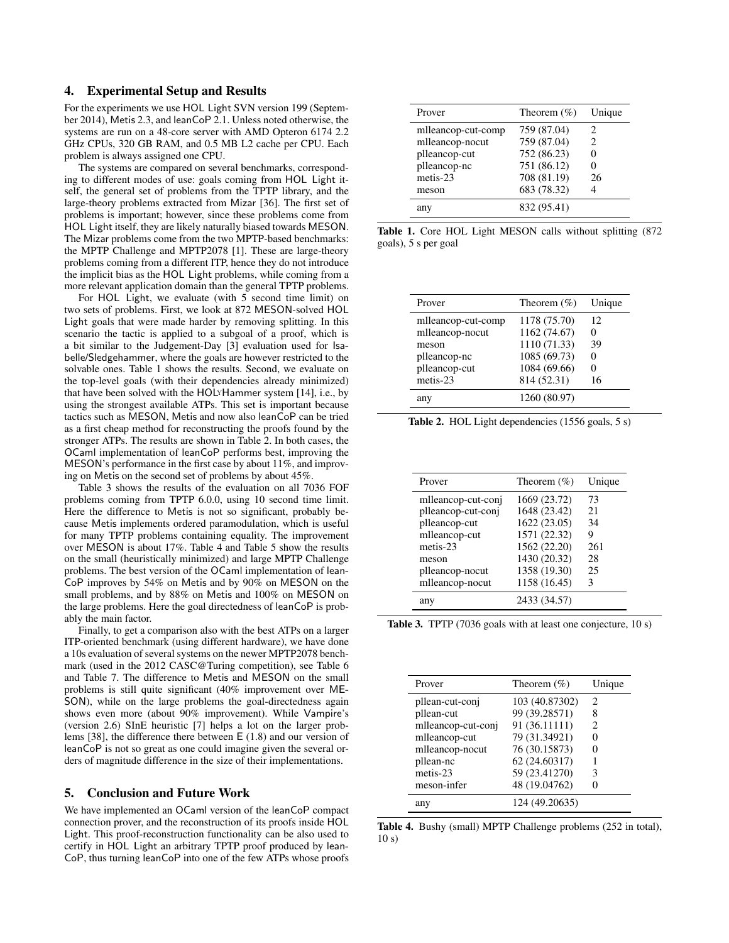# 4. Experimental Setup and Results

For the experiments we use HOL Light SVN version 199 (September 2014), Metis 2.3, and leanCoP 2.1. Unless noted otherwise, the systems are run on a 48-core server with AMD Opteron 6174 2.2 GHz CPUs, 320 GB RAM, and 0.5 MB L2 cache per CPU. Each problem is always assigned one CPU.

The systems are compared on several benchmarks, corresponding to different modes of use: goals coming from HOL Light itself, the general set of problems from the TPTP library, and the large-theory problems extracted from Mizar [36]. The first set of problems is important; however, since these problems come from HOL Light itself, they are likely naturally biased towards MESON. The Mizar problems come from the two MPTP-based benchmarks: the MPTP Challenge and MPTP2078 [1]. These are large-theory problems coming from a different ITP, hence they do not introduce the implicit bias as the HOL Light problems, while coming from a more relevant application domain than the general TPTP problems.

For HOL Light, we evaluate (with 5 second time limit) on two sets of problems. First, we look at 872 MESON-solved HOL Light goals that were made harder by removing splitting. In this scenario the tactic is applied to a subgoal of a proof, which is a bit similar to the Judgement-Day [3] evaluation used for Isabelle/Sledgehammer, where the goals are however restricted to the solvable ones. Table 1 shows the results. Second, we evaluate on the top-level goals (with their dependencies already minimized) that have been solved with the HOLyHammer system [14], i.e., by using the strongest available ATPs. This set is important because tactics such as MESON, Metis and now also leanCoP can be tried as a first cheap method for reconstructing the proofs found by the stronger ATPs. The results are shown in Table 2. In both cases, the OCaml implementation of leanCoP performs best, improving the MESON's performance in the first case by about 11%, and improving on Metis on the second set of problems by about 45%.

Table 3 shows the results of the evaluation on all 7036 FOF problems coming from TPTP 6.0.0, using 10 second time limit. Here the difference to Metis is not so significant, probably because Metis implements ordered paramodulation, which is useful for many TPTP problems containing equality. The improvement over MESON is about 17%. Table 4 and Table 5 show the results on the small (heuristically minimized) and large MPTP Challenge problems. The best version of the OCaml implementation of lean-CoP improves by 54% on Metis and by 90% on MESON on the small problems, and by 88% on Metis and 100% on MESON on the large problems. Here the goal directedness of leanCoP is probably the main factor.

Finally, to get a comparison also with the best ATPs on a larger ITP-oriented benchmark (using different hardware), we have done a 10s evaluation of several systems on the newer MPTP2078 benchmark (used in the 2012 CASC@Turing competition), see Table 6 and Table 7. The difference to Metis and MESON on the small problems is still quite significant (40% improvement over ME-SON), while on the large problems the goal-directedness again shows even more (about 90% improvement). While Vampire's (version 2.6) SInE heuristic [7] helps a lot on the larger problems [38], the difference there between E (1.8) and our version of leanCoP is not so great as one could imagine given the several orders of magnitude difference in the size of their implementations.

# 5. Conclusion and Future Work

We have implemented an OCaml version of the leanCoP compact connection prover, and the reconstruction of its proofs inside HOL Light. This proof-reconstruction functionality can be also used to certify in HOL Light an arbitrary TPTP proof produced by lean-CoP, thus turning leanCoP into one of the few ATPs whose proofs

| Prover             | Theorem $(\% )$ | Unique |
|--------------------|-----------------|--------|
| mlleancop-cut-comp | 759 (87.04)     | 2      |
| mlleancop-nocut    | 759 (87.04)     | 2      |
| plleancop-cut      | 752 (86.23)     |        |
| plleancop-nc       | 751 (86.12)     |        |
| metis-23           | 708 (81.19)     | 26     |
| meson              | 683 (78.32)     |        |
| any                | 832 (95.41)     |        |

Table 1. Core HOL Light MESON calls without splitting (872 goals), 5 s per goal

| Prover             | Theorem $(\% )$ | Unique |
|--------------------|-----------------|--------|
| mlleancop-cut-comp | 1178 (75.70)    | 12     |
| mlleancop-nocut    | 1162 (74.67)    | 0      |
| meson              | 1110 (71.33)    | 39     |
| plleancop-nc       | 1085 (69.73)    |        |
| plleancop-cut      | 1084 (69.66)    | 0      |
| metis-23           | 814 (52.31)     | 16     |
| any                | 1260 (80.97)    |        |

Table 2. HOL Light dependencies (1556 goals, 5 s)

| Prover             | Theorem $(\% )$ | Unique |
|--------------------|-----------------|--------|
| mlleancop-cut-conj | 1669 (23.72)    | 73     |
| plleancop-cut-conj | 1648 (23.42)    | 21     |
| plleancop-cut      | 1622 (23.05)    | 34     |
| mlleancop-cut      | 1571 (22.32)    | 9      |
| metis-23           | 1562 (22.20)    | 261    |
| meson              | 1430 (20.32)    | 28     |
| plleancop-nocut    | 1358 (19.30)    | 25     |
| mlleancop-nocut    | 1158 (16.45)    | 3      |
| any                | 2433 (34.57)    |        |

Table 3. TPTP (7036 goals with at least one conjecture, 10 s)

| Prover             | Theorem $(\% )$ | Unique                      |
|--------------------|-----------------|-----------------------------|
| pllean-cut-conj    | 103 (40.87302)  | 2                           |
| pllean-cut         | 99 (39.28571)   | 8                           |
| mlleancop-cut-conj | 91 (36.11111)   | $\mathcal{D}_{\mathcal{L}}$ |
| mlleancop-cut      | 79 (31.34921)   | $\mathbf{\Omega}$           |
| mlleancop-nocut    | 76 (30.15873)   | $\mathbf{\Omega}$           |
| pllean-nc          | 62 (24.60317)   |                             |
| metis-23           | 59 (23.41270)   | 3                           |
| meson-infer        | 48 (19.04762)   |                             |
| any                | 124 (49.20635)  |                             |

Table 4. Bushy (small) MPTP Challenge problems (252 in total), 10 s)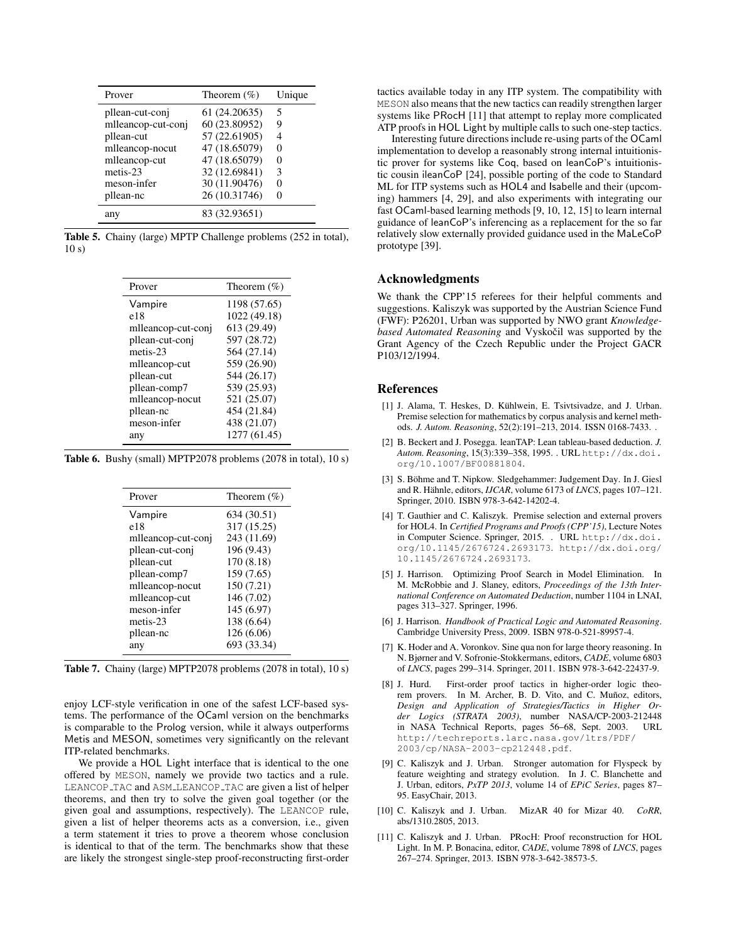| Prover             | Theorem $(\% )$ | Unique       |
|--------------------|-----------------|--------------|
| pllean-cut-conj    | 61 (24.20635)   | 5            |
| mlleancop-cut-conj | 60 (23.80952)   | 9            |
| pllean-cut         | 57 (22.61905)   | 4            |
| mlleancop-nocut    | 47 (18.65079)   | 0            |
| mlleancop-cut      | 47 (18.65079)   | $\mathbf{0}$ |
| metis-23           | 32 (12.69841)   | 3            |
| meson-infer        | 30 (11.90476)   | 0            |
| pllean-nc          | 26 (10.31746)   | 0            |
| any                | 83 (32.93651)   |              |

Table 5. Chainy (large) MPTP Challenge problems (252 in total), 10 s)

| Prover             | Theorem $(\% )$ |
|--------------------|-----------------|
| Vampire            | 1198 (57.65)    |
| e18                | 1022 (49.18)    |
| mlleancop-cut-conj | 613 (29.49)     |
| pllean-cut-conj    | 597 (28.72)     |
| metis-23           | 564 (27.14)     |
| mlleancop-cut      | 559 (26.90)     |
| pllean-cut         | 544 (26.17)     |
| pllean-comp7       | 539 (25.93)     |
| mlleancop-nocut    | 521 (25.07)     |
| pllean-nc          | 454 (21.84)     |
| meson-infer        | 438 (21.07)     |
| any                | 1277 (61.45)    |

Table 6. Bushy (small) MPTP2078 problems (2078 in total), 10 s)

| Prover             | Theorem $(\% )$ |
|--------------------|-----------------|
| Vampire            | 634 (30.51)     |
| e18                | 317 (15.25)     |
| mlleancop-cut-conj | 243 (11.69)     |
| pllean-cut-conj    | 196 (9.43)      |
| pllean-cut         | 170 (8.18)      |
| pllean-comp7       | 159 (7.65)      |
| mlleancop-nocut    | 150 (7.21)      |
| mlleancop-cut      | 146 (7.02)      |
| meson-infer        | 145 (6.97)      |
| metis-23           | 138 (6.64)      |
| pllean-nc          | 126 (6.06)      |
| any                | 693 (33.34)     |

Table 7. Chainy (large) MPTP2078 problems (2078 in total), 10 s)

enjoy LCF-style verification in one of the safest LCF-based systems. The performance of the OCaml version on the benchmarks is comparable to the Prolog version, while it always outperforms Metis and MESON, sometimes very significantly on the relevant ITP-related benchmarks.

We provide a HOL Light interface that is identical to the one offered by MESON, namely we provide two tactics and a rule. LEANCOP\_TAC and ASM\_LEANCOP\_TAC are given a list of helper theorems, and then try to solve the given goal together (or the given goal and assumptions, respectively). The LEANCOP rule, given a list of helper theorems acts as a conversion, i.e., given a term statement it tries to prove a theorem whose conclusion is identical to that of the term. The benchmarks show that these are likely the strongest single-step proof-reconstructing first-order

tactics available today in any ITP system. The compatibility with MESON also means that the new tactics can readily strengthen larger systems like PRocH [11] that attempt to replay more complicated ATP proofs in HOL Light by multiple calls to such one-step tactics.

Interesting future directions include re-using parts of the OCaml implementation to develop a reasonably strong internal intuitionistic prover for systems like Coq, based on leanCoP's intuitionistic cousin ileanCoP [24], possible porting of the code to Standard ML for ITP systems such as HOL4 and Isabelle and their (upcoming) hammers [4, 29], and also experiments with integrating our fast OCaml-based learning methods [9, 10, 12, 15] to learn internal guidance of leanCoP's inferencing as a replacement for the so far relatively slow externally provided guidance used in the MaLeCoP prototype [39].

## Acknowledgments

We thank the CPP'15 referees for their helpful comments and suggestions. Kaliszyk was supported by the Austrian Science Fund (FWF): P26201, Urban was supported by NWO grant *Knowledgebased Automated Reasoning* and Vyskočil was supported by the Grant Agency of the Czech Republic under the Project GACR P103/12/1994.

# References

- [1] J. Alama, T. Heskes, D. Kühlwein, E. Tsivtsivadze, and J. Urban. Premise selection for mathematics by corpus analysis and kernel methods. *J. Autom. Reasoning*, 52(2):191–213, 2014. ISSN 0168-7433. .
- [2] B. Beckert and J. Posegga. leanTAP: Lean tableau-based deduction. *J. Autom. Reasoning*, 15(3):339–358, 1995. . URL http://dx.doi. org/10.1007/BF00881804.
- [3] S. Böhme and T. Nipkow. Sledgehammer: Judgement Day. In J. Giesl and R. Hähnle, editors, *IJCAR*, volume 6173 of *LNCS*, pages 107-121. Springer, 2010. ISBN 978-3-642-14202-4.
- [4] T. Gauthier and C. Kaliszyk. Premise selection and external provers for HOL4. In *Certified Programs and Proofs (CPP'15)*, Lecture Notes in Computer Science. Springer, 2015. . URL http://dx.doi. org/10.1145/2676724.2693173. http://dx.doi.org/ 10.1145/2676724.2693173.
- [5] J. Harrison. Optimizing Proof Search in Model Elimination. In M. McRobbie and J. Slaney, editors, *Proceedings of the 13th International Conference on Automated Deduction*, number 1104 in LNAI, pages 313–327. Springer, 1996.
- [6] J. Harrison. *Handbook of Practical Logic and Automated Reasoning*. Cambridge University Press, 2009. ISBN 978-0-521-89957-4.
- [7] K. Hoder and A. Voronkov. Sine qua non for large theory reasoning. In N. Bjørner and V. Sofronie-Stokkermans, editors, *CADE*, volume 6803 of *LNCS*, pages 299–314. Springer, 2011. ISBN 978-3-642-22437-9.
- [8] J. Hurd. First-order proof tactics in higher-order logic theorem provers. In M. Archer, B. D. Vito, and C. Muñoz, editors, *Design and Application of Strategies/Tactics in Higher Order Logics (STRATA 2003)*, number NASA/CP-2003-212448 in NASA Technical Reports, pages 56–68, Sept. 2003. URL http://techreports.larc.nasa.gov/ltrs/PDF/ 2003/cp/NASA-2003-cp212448.pdf.
- [9] C. Kaliszyk and J. Urban. Stronger automation for Flyspeck by feature weighting and strategy evolution. In J. C. Blanchette and J. Urban, editors, *PxTP 2013*, volume 14 of *EPiC Series*, pages 87– 95. EasyChair, 2013.
- [10] C. Kaliszyk and J. Urban. MizAR 40 for Mizar 40. *CoRR*, abs/1310.2805, 2013.
- [11] C. Kaliszyk and J. Urban. PRocH: Proof reconstruction for HOL Light. In M. P. Bonacina, editor, *CADE*, volume 7898 of *LNCS*, pages 267–274. Springer, 2013. ISBN 978-3-642-38573-5.